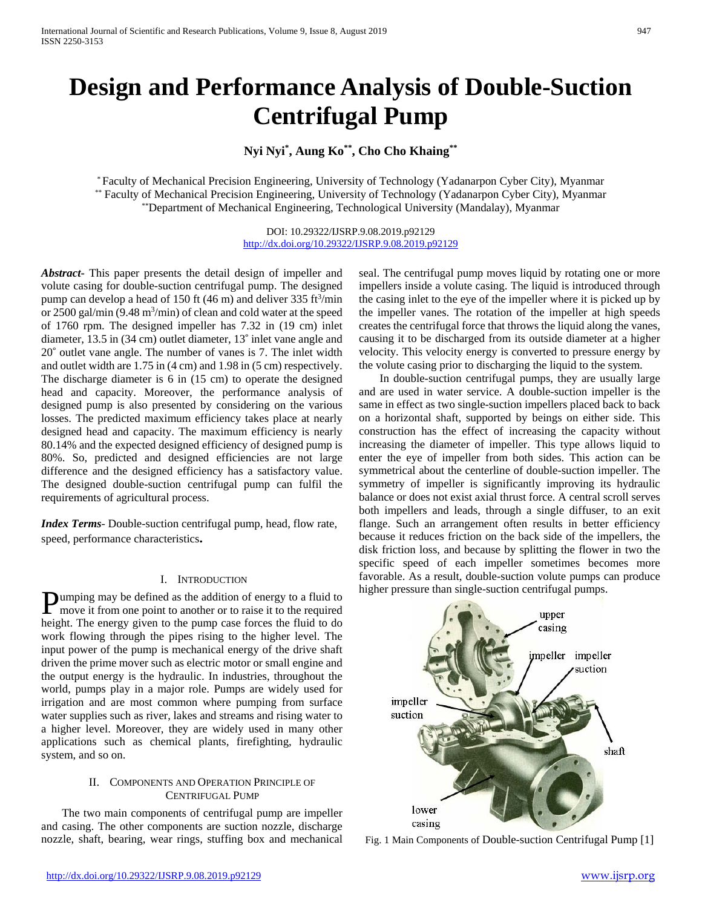# **Design and Performance Analysis of Double-Suction Centrifugal Pump**

**Nyi Nyi\* , Aung Ko\*\*, Cho Cho Khaing\*\***

\* Faculty of Mechanical Precision Engineering, University of Technology (Yadanarpon Cyber City), Myanmar \*\* Faculty of Mechanical Precision Engineering, University of Technology (Yadanarpon Cyber City), Myanmar \*\*Department of Mechanical Engineering, Technological University (Mandalay), Myanmar

> DOI: 10.29322/IJSRP.9.08.2019.p92129 <http://dx.doi.org/10.29322/IJSRP.9.08.2019.p92129>

*Abstract***-** This paper presents the detail design of impeller and volute casing for double-suction centrifugal pump. The designed pump can develop a head of 150 ft  $(46 \text{ m})$  and deliver 335 ft<sup>3</sup>/min or  $2500$  gal/min (9.48 m<sup>3</sup>/min) of clean and cold water at the speed of 1760 rpm. The designed impeller has 7.32 in (19 cm) inlet diameter, 13.5 in (34 cm) outlet diameter, 13˚ inlet vane angle and 20˚ outlet vane angle. The number of vanes is 7. The inlet width and outlet width are 1.75 in (4 cm) and 1.98 in (5 cm) respectively. The discharge diameter is 6 in (15 cm) to operate the designed head and capacity. Moreover, the performance analysis of designed pump is also presented by considering on the various losses. The predicted maximum efficiency takes place at nearly designed head and capacity. The maximum efficiency is nearly 80.14% and the expected designed efficiency of designed pump is 80%. So, predicted and designed efficiencies are not large difference and the designed efficiency has a satisfactory value. The designed double-suction centrifugal pump can fulfil the requirements of agricultural process.

*Index Terms*- Double-suction centrifugal pump, head, flow rate, speed, performance characteristics**.**

# I. INTRODUCTION

umping may be defined as the addition of energy to a fluid to **Pumping may be defined as the addition of energy to a fluid to** move it from one point to another or to raise it to the required height. The energy given to the pump case forces the fluid to do work flowing through the pipes rising to the higher level. The input power of the pump is mechanical energy of the drive shaft driven the prime mover such as electric motor or small engine and the output energy is the hydraulic. In industries, throughout the world, pumps play in a major role. Pumps are widely used for irrigation and are most common where pumping from surface water supplies such as river, lakes and streams and rising water to a higher level. Moreover, they are widely used in many other applications such as chemical plants, firefighting, hydraulic system, and so on.

# II. COMPONENTS AND OPERATION PRINCIPLE OF CENTRIFUGAL PUMP

The two main components of centrifugal pump are impeller and casing. The other components are suction nozzle, discharge nozzle, shaft, bearing, wear rings, stuffing box and mechanical seal. The centrifugal pump moves liquid by rotating one or more impellers inside a volute casing. The liquid is introduced through the casing inlet to the eye of the impeller where it is picked up by the impeller vanes. The rotation of the impeller at high speeds creates the centrifugal force that throws the liquid along the vanes, causing it to be discharged from its outside diameter at a higher velocity. This velocity energy is converted to pressure energy by the volute casing prior to discharging the liquid to the system.

In double-suction centrifugal pumps, they are usually large and are used in water service. A double-suction impeller is the same in effect as two single-suction impellers placed back to back on a horizontal shaft, supported by beings on either side. This construction has the effect of increasing the capacity without increasing the diameter of impeller. This type allows liquid to enter the eye of impeller from both sides. This action can be symmetrical about the centerline of double-suction impeller. The symmetry of impeller is significantly improving its hydraulic balance or does not exist axial thrust force. A central scroll serves both impellers and leads, through a single diffuser, to an exit flange. Such an arrangement often results in better efficiency because it reduces friction on the back side of the impellers, the disk friction loss, and because by splitting the flower in two the specific speed of each impeller sometimes becomes more favorable. As a result, double-suction volute pumps can produce higher pressure than single-suction centrifugal pumps.



Fig. 1 Main Components of Double-suction Centrifugal Pump [1]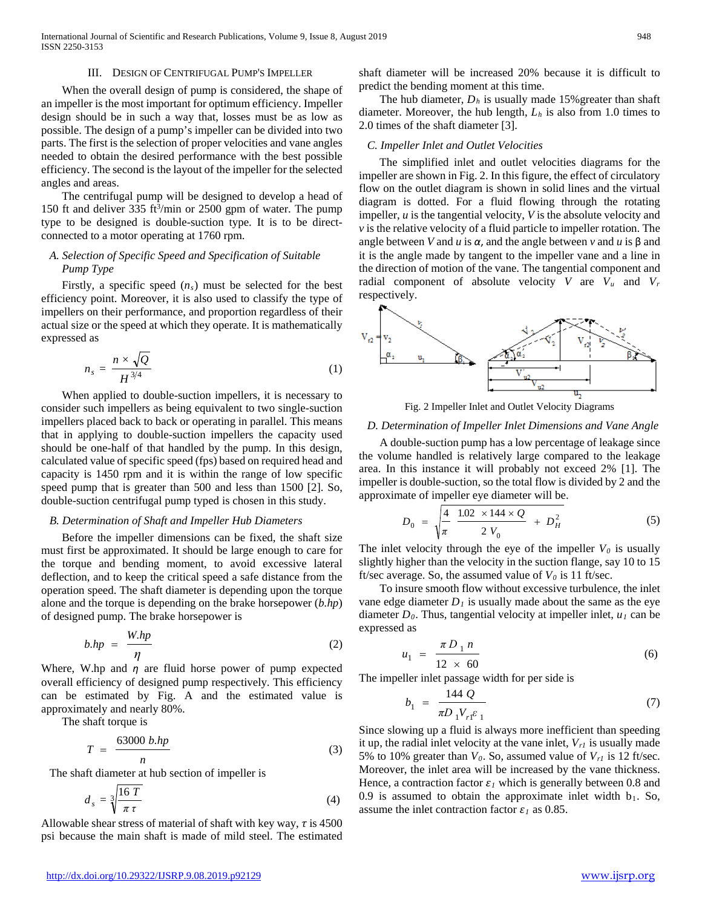### III. DESIGN OF CENTRIFUGAL PUMP'S IMPELLER

When the overall design of pump is considered, the shape of an impeller is the most important for optimum efficiency. Impeller design should be in such a way that, losses must be as low as possible. The design of a pump's impeller can be divided into two parts. The first is the selection of proper velocities and vane angles needed to obtain the desired performance with the best possible efficiency. The second is the layout of the impeller for the selected angles and areas.

The centrifugal pump will be designed to develop a head of 150 ft and deliver 335 ft<sup>3</sup>/min or 2500 gpm of water. The pump type to be designed is double-suction type. It is to be directconnected to a motor operating at 1760 rpm.

# *A. Selection of Specific Speed and Specification of Suitable Pump Type*

Firstly, a specific speed  $(n<sub>s</sub>)$  must be selected for the best efficiency point. Moreover, it is also used to classify the type of impellers on their performance, and proportion regardless of their actual size or the speed at which they operate. It is mathematically expressed as

$$
n_s = \frac{n \times \sqrt{Q}}{H^{3/4}} \tag{1}
$$

When applied to double-suction impellers, it is necessary to consider such impellers as being equivalent to two single-suction impellers placed back to back or operating in parallel. This means that in applying to double-suction impellers the capacity used should be one-half of that handled by the pump. In this design, calculated value of specific speed (fps) based on required head and capacity is 1450 rpm and it is within the range of low specific speed pump that is greater than 500 and less than 1500 [2]. So, double-suction centrifugal pump typed is chosen in this study.

### *B. Determination of Shaft and Impeller Hub Diameters*

Before the impeller dimensions can be fixed, the shaft size must first be approximated. It should be large enough to care for the torque and bending moment, to avoid excessive lateral deflection, and to keep the critical speed a safe distance from the operation speed. The shaft diameter is depending upon the torque alone and the torque is depending on the brake horsepower (*b.hp*) of designed pump. The brake horsepower is

$$
b.hp = \frac{W.hp}{\eta} \tag{2}
$$

Where, W.hp and *η* are fluid horse power of pump expected overall efficiency of designed pump respectively. This efficiency can be estimated by Fig. A and the estimated value is approximately and nearly 80%.

The shaft torque is

$$
T = \frac{63000 \; b \cdot hp}{n} \tag{3}
$$

The shaft diameter at hub section of impeller is

$$
d_s = \sqrt[3]{\frac{16 \ T}{\pi \tau}}
$$
 (4)

Allowable shear stress of material of shaft with key way, *τ* is 4500 psi because the main shaft is made of mild steel. The estimated

shaft diameter will be increased 20% because it is difficult to predict the bending moment at this time.

The hub diameter,  $D_h$  is usually made 15% greater than shaft diameter. Moreover, the hub length, *Lh* is also from 1.0 times to 2.0 times of the shaft diameter [3].

### *C. Impeller Inlet and Outlet Velocities*

The simplified inlet and outlet velocities diagrams for the impeller are shown in Fig. 2. In this figure, the effect of circulatory flow on the outlet diagram is shown in solid lines and the virtual diagram is dotted. For a fluid flowing through the rotating impeller, *u* is the tangential velocity, *V* is the absolute velocity and *v* is the relative velocity of a fluid particle to impeller rotation. The angle between *V* and *u* is  $\alpha$ , and the angle between *v* and *u* is  $\beta$  and it is the angle made by tangent to the impeller vane and a line in the direction of motion of the vane. The tangential component and radial component of absolute velocity  $V$  are  $V_u$  and  $V_r$ respectively.



Fig. 2 Impeller Inlet and Outlet Velocity Diagrams

### *D. Determination of Impeller Inlet Dimensions and Vane Angle*

A double-suction pump has a low percentage of leakage since the volume handled is relatively large compared to the leakage area. In this instance it will probably not exceed 2% [1]. The impeller is double-suction, so the total flow is divided by 2 and the approximate of impeller eye diameter will be.

$$
D_0 = \sqrt{\frac{4}{\pi}} \frac{1.02 \times 144 \times Q}{2 V_0} + D_H^2 \tag{5}
$$

The inlet velocity through the eye of the impeller  $V_0$  is usually slightly higher than the velocity in the suction flange, say 10 to 15 ft/sec average. So, the assumed value of  $V_0$  is 11 ft/sec.

To insure smooth flow without excessive turbulence, the inlet vane edge diameter  $D_1$  is usually made about the same as the eye diameter  $D_0$ . Thus, tangential velocity at impeller inlet,  $u_1$  can be expressed as

$$
_{1} = \frac{\pi D_{1} n}{12 \times 60}
$$
 (6)

The impeller inlet passage width for per side is

 $u_1$ 

$$
b_1 = \frac{144 \ Q}{\pi D_1 V_{r1} \varepsilon_1} \tag{7}
$$

Since slowing up a fluid is always more inefficient than speeding it up, the radial inlet velocity at the vane inlet,  $V_{rl}$  is usually made 5% to 10% greater than  $V_0$ . So, assumed value of  $V_{r1}$  is 12 ft/sec. Moreover, the inlet area will be increased by the vane thickness. Hence, a contraction factor  $\varepsilon_l$  which is generally between 0.8 and 0.9 is assumed to obtain the approximate inlet width  $b_1$ . So, assume the inlet contraction factor  $\varepsilon_l$  as 0.85.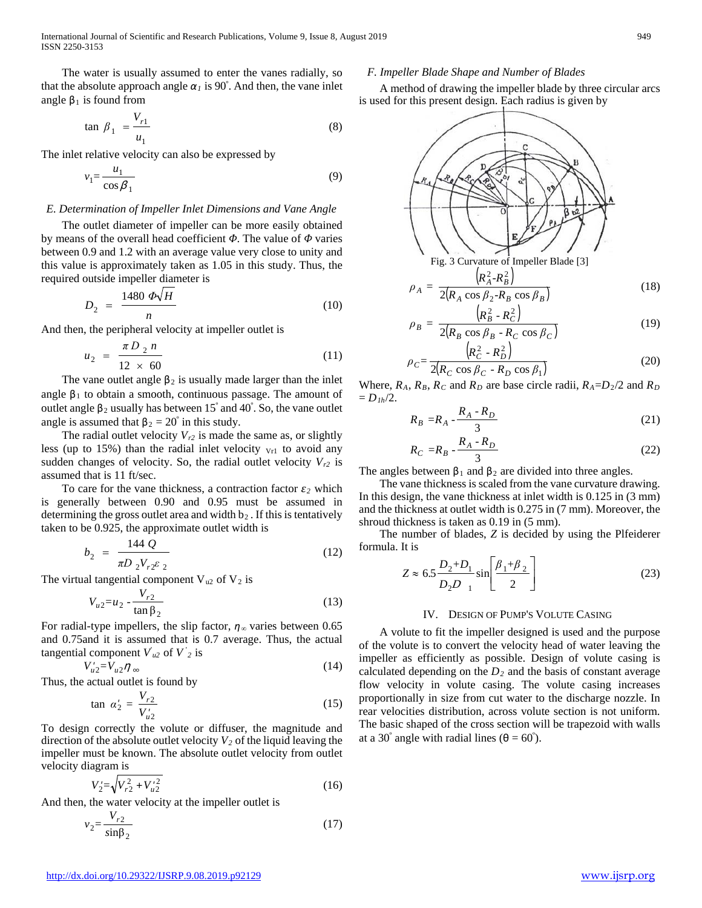The water is usually assumed to enter the vanes radially, so that the absolute approach angle  $\alpha_l$  is 90°. And then, the vane inlet angle  $β_1$  is found from

$$
\tan \beta_1 = \frac{V_{r1}}{u_1} \tag{8}
$$

The inlet relative velocity can also be expressed by

$$
v_1 = \frac{u_1}{\cos \beta_1} \tag{9}
$$

# *E. Determination of Impeller Inlet Dimensions and Vane Angle*

The outlet diameter of impeller can be more easily obtained by means of the overall head coefficient *Φ*. The value of *Φ* varies between 0.9 and 1.2 with an average value very close to unity and this value is approximately taken as 1.05 in this study. Thus, the required outside impeller diameter is

$$
D_2 = \frac{1480 \ \Phi \sqrt{H}}{n} \tag{10}
$$

And then, the peripheral velocity at impeller outlet is

$$
u_2 = \frac{\pi D_2 n}{12 \times 60} \tag{11}
$$

The vane outlet angle  $\beta_2$  is usually made larger than the inlet angle  $\beta_1$  to obtain a smooth, continuous passage. The amount of outlet angle  $β_2$  usually has between  $15°$  and  $40°$ . So, the vane outlet angle is assumed that  $\beta_2 = 20^\circ$  in this study.

The radial outlet velocity  $V_{r2}$  is made the same as, or slightly less (up to 15%) than the radial inlet velocity  $v_{r1}$  to avoid any sudden changes of velocity. So, the radial outlet velocity  $V_{r2}$  is assumed that is 11 ft/sec.

To care for the vane thickness, a contraction factor  $\varepsilon_2$  which is generally between 0.90 and 0.95 must be assumed in determining the gross outlet area and width  $b_2$ . If this is tentatively taken to be 0.925, the approximate outlet width is

$$
b_2 = \frac{144 \ Q}{\pi D_2 V_{r2} \varepsilon_2} \tag{12}
$$

The virtual tangential component  $V_{u2}$  of  $V_2$  is

$$
V_{u2} = u_2 - \frac{V_{r2}}{\tan \beta_2} \tag{13}
$$

For radial-type impellers, the slip factor,  $\eta_\infty$  varies between 0.65 and 0.75and it is assumed that is 0.7 average. Thus, the actual tangential component  $V_{u2}$  of  $V_{2}$  is

$$
V'_{u2} = V_{u2} \eta_{\infty} \tag{14}
$$

Thus, the actual outlet is found by

$$
\tan \alpha_2' = \frac{V_{r2}}{V_{u2}'} \tag{15}
$$

To design correctly the volute or diffuser, the magnitude and direction of the absolute outlet velocity  $V_2$  of the liquid leaving the impeller must be known. The absolute outlet velocity from outlet velocity diagram is

$$
V_2' = \sqrt{V_{r2}^2 + V_{u2}'^2}
$$
 (16)

And then, the water velocity at the impeller outlet is

$$
v_2 = \frac{V_{r2}}{\sin \beta_2} \tag{17}
$$

### *F. Impeller Blade Shape and Number of Blades*

A method of drawing the impeller blade by three circular arcs is used for this present design. Each radius is given by



$$
\rho_B = \frac{R_B - R_C}{2(R_B \cos \beta_B - R_C \cos \beta_C)}
$$
(19)

$$
\rho_C = \frac{\left(R_C^2 - R_D^2\right)}{2\left(R_C \cos \beta_C - R_D \cos \beta_1\right)}\tag{20}
$$

Where,  $R_A$ ,  $R_B$ ,  $R_C$  and  $R_D$  are base circle radii,  $R_A = D_2/2$  and  $R_D$  $= D_{1h}/2.$ 

$$
R_B = R_A - \frac{R_A - R_D}{3} \tag{21}
$$

$$
R_C = R_B - \frac{R_A - R_D}{3} \tag{22}
$$

The angles between  $\beta_1$  and  $\beta_2$  are divided into three angles.

The vane thickness is scaled from the vane curvature drawing. In this design, the vane thickness at inlet width is 0.125 in (3 mm) and the thickness at outlet width is 0.275 in (7 mm). Moreover, the shroud thickness is taken as 0.19 in  $(5 \text{ mm})$ .

The number of blades, *Z* is decided by using the Plfeiderer formula. It is

$$
Z \approx 6.5 \frac{D_2 + D_1}{D_2 D_{1}} \sin \left[ \frac{\beta_1 + \beta_2}{2} \right]
$$
 (23)

### IV. DESIGN OF PUMP'S VOLUTE CASING

A volute to fit the impeller designed is used and the purpose of the volute is to convert the velocity head of water leaving the impeller as efficiently as possible. Design of volute casing is calculated depending on the  $D_2$  and the basis of constant average flow velocity in volute casing. The volute casing increases proportionally in size from cut water to the discharge nozzle. In rear velocities distribution, across volute section is not uniform. The basic shaped of the cross section will be trapezoid with walls at a 30<sup>°</sup> angle with radial lines ( $\theta = 60^{\circ}$ ).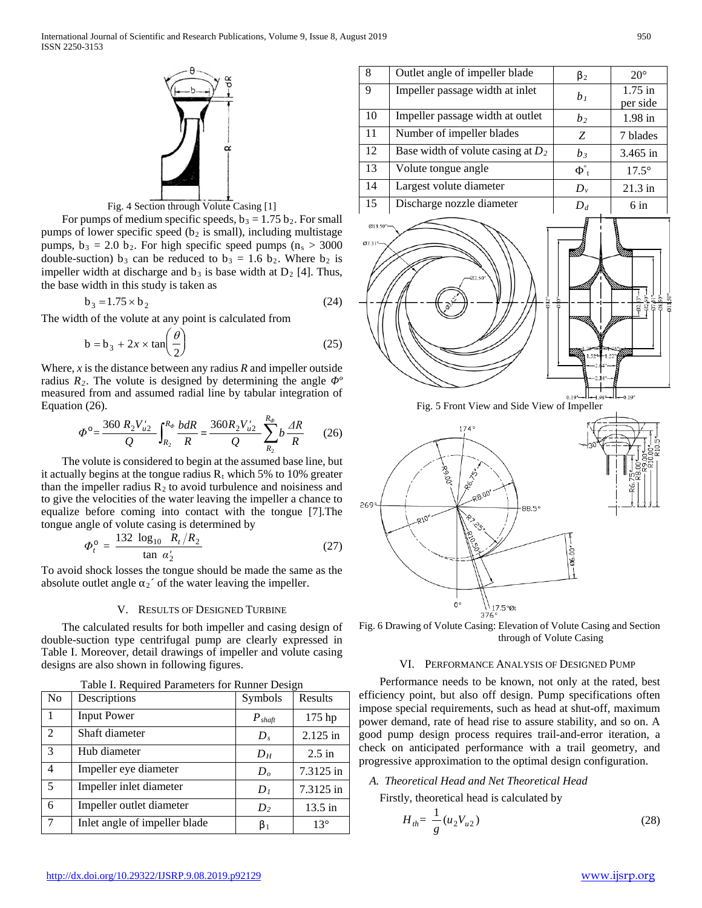

Fig. 4 Section through Volute Casing [1]

For pumps of medium specific speeds,  $b_3 = 1.75 b_2$ . For small pumps of lower specific speed ( $b<sub>2</sub>$  is small), including multistage pumps,  $b_3 = 2.0$  b<sub>2</sub>. For high specific speed pumps ( $n_s > 3000$ ) double-suction) b<sub>3</sub> can be reduced to b<sub>3</sub> = 1.6 b<sub>2</sub>. Where b<sub>2</sub> is impeller width at discharge and  $b_3$  is base width at  $D_2$  [4]. Thus, the base width in this study is taken as

$$
b_3 = 1.75 \times b_2 \tag{24}
$$

The width of the volute at any point is calculated from

$$
b = b_3 + 2x \times \tan\left(\frac{\theta}{2}\right) \tag{25}
$$

Where, *x* is the distance between any radius *R* and impeller outside radius *R2*. The volute is designed by determining the angle *Φº* measured from and assumed radial line by tabular integration of Equation (26).

$$
\Phi^{\circ} = \frac{360 \, R_2 V_{u2}'}{Q} \int_{R_2}^{R_{\phi}} \frac{bdR}{R} = \frac{360 R_2 V_{u2}'}{Q} \sum_{R_2}^{R_{\phi}} b \frac{dR}{R} \qquad (26)
$$

The volute is considered to begin at the assumed base line, but it actually begins at the tongue radius  $R_t$  which 5% to 10% greater than the impeller radius  $R_2$  to avoid turbulence and noisiness and to give the velocities of the water leaving the impeller a chance to equalize before coming into contact with the tongue [7].The tongue angle of volute casing is determined by

$$
\Phi_t^{\circ} = \frac{132 \log_{10} R_t/R_2}{\tan \alpha'_2} \tag{27}
$$

To avoid shock losses the tongue should be made the same as the absolute outlet angle  $\alpha_2$ <sup> $\prime$ </sup> of the water leaving the impeller.

### V. RESULTS OF DESIGNED TURBINE

The calculated results for both impeller and casing design of double-suction type centrifugal pump are clearly expressed in Table I. Moreover, detail drawings of impeller and volute casing designs are also shown in following figures.

| N <sub>0</sub> | Descriptions                  | ----<br>Symbols                   | Results      |
|----------------|-------------------------------|-----------------------------------|--------------|
|                | <b>Input Power</b>            | $\boldsymbol{P}_{\textit{shaft}}$ | 175 hp       |
| 2              | Shaft diameter                | $D_s$                             | 2.125 in     |
| 3              | Hub diameter                  | D <sub>H</sub>                    | $2.5$ in     |
| $\overline{4}$ | Impeller eye diameter         | D <sub>o</sub>                    | 7.3125 in    |
| 5              | Impeller inlet diameter       | D <sub>1</sub>                    | 7.3125 in    |
| 6              | Impeller outlet diameter      | $D_2$                             | $13.5$ in    |
| 7              | Inlet angle of impeller blade | $\beta_1$                         | $13^{\circ}$ |

| Table I. Required Parameters for Runner Design |  |
|------------------------------------------------|--|
|                                                |  |

| 8               | Outlet angle of impeller blade              | $\beta_2$                                | $20^{\circ}$                  |
|-----------------|---------------------------------------------|------------------------------------------|-------------------------------|
| 9               | Impeller passage width at inlet             | b <sub>1</sub>                           | $1.75 \text{ in}$<br>per side |
| $\overline{10}$ | Impeller passage width at outlet            | b <sub>2</sub>                           | 1.98 in                       |
| 11              | Number of impeller blades                   | Z                                        | 7 blades                      |
| 12              | Base width of volute casing at $D_2$        | $b_3$                                    | 3.465 in                      |
| 13              | Volute tongue angle                         | $\Phi_{t}^{\circ}$                       | $17.5^\circ$                  |
| 14              | Largest volute diameter                     | $D_{v}$                                  | 21.3 in                       |
| $\overline{15}$ | Discharge nozzle diameter                   | $D_d$                                    | $6 \text{ in}$                |
| Ø7.31'          | Fig. 5 Front View and Side View of Impeller | <b>MAR</b><br><b>COLLEGE</b><br>naallinn | $-0.19"$                      |
|                 | 174°                                        |                                          |                               |



 $-88.5^{\circ}$ 

 $26C$ 

Fig. 6 Drawing of Volute Casing: Elevation of Volute Casing and Section through of Volute Casing

### VI. PERFORMANCE ANALYSIS OF DESIGNED PUMP

Performance needs to be known, not only at the rated, best efficiency point, but also off design. Pump specifications often impose special requirements, such as head at shut-off, maximum power demand, rate of head rise to assure stability, and so on. A good pump design process requires trail-and-error iteration, a check on anticipated performance with a trail geometry, and progressive approximation to the optimal design configuration.

# *A. Theoretical Head and Net Theoretical Head*

Firstly, theoretical head is calculated by

$$
H_{th} = \frac{1}{g} (u_2 V_{u2})
$$
 (28)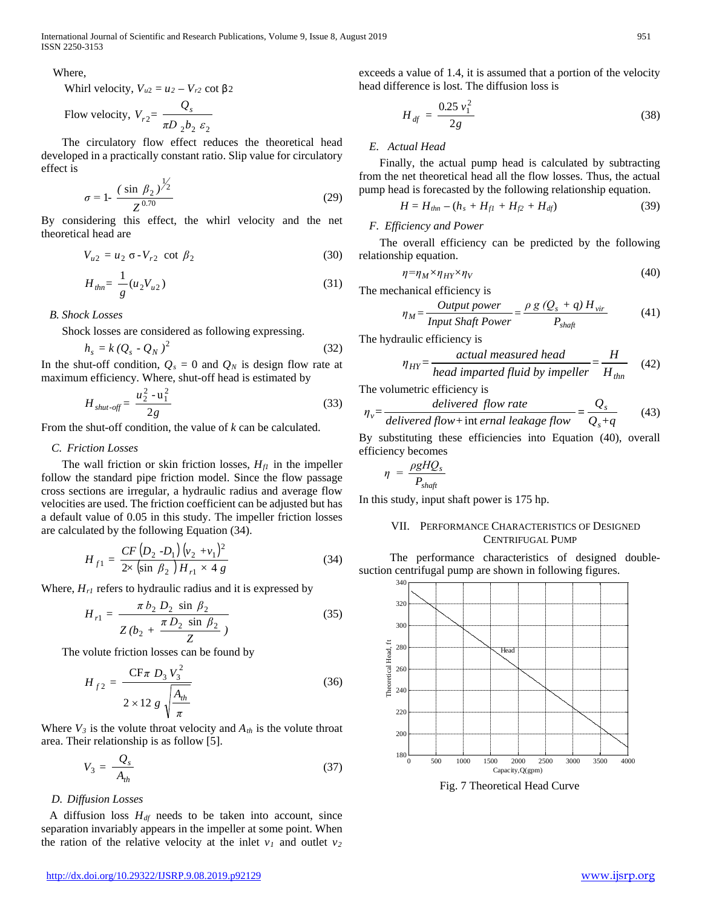International Journal of Scientific and Research Publications, Volume 9, Issue 8, August 2019 951 ISSN 2250-3153

### Where,

Whirl velocity,  $V_{u2} = u_2 - V_{r2}$  cot  $\beta_2$ 

Flow velocity, 
$$
V_{r2} = \frac{Q_s}{\pi D_2 b_2 \varepsilon_2}
$$

The circulatory flow effect reduces the theoretical head developed in a practically constant ratio. Slip value for circulatory effect is

$$
\sigma = 1 - \frac{(\sin \beta_2)^{\frac{1}{2}}}{Z^{0.70}}
$$
 (29)

By considering this effect, the whirl velocity and the net theoretical head are

$$
V_{u2} = u_2 \sigma - V_{r2} \cot \beta_2 \tag{30}
$$

$$
H_{\text{thn}} = \frac{1}{g} (u_2 V_{u2}) \tag{31}
$$

*B. Shock Losses*

Shock losses are considered as following expressing.

$$
h_s = k \left(Q_s \cdot Q_N\right)^2 \tag{32}
$$

In the shut-off condition,  $Q_s = 0$  and  $Q_N$  is design flow rate at maximum efficiency. Where, shut-off head is estimated by

$$
H_{shut\text{-}off} = \frac{u_2^2 - u_1^2}{2g} \tag{33}
$$

From the shut-off condition, the value of *k* can be calculated.

# *C. Friction Losses*

The wall friction or skin friction losses,  $H_f$  in the impeller follow the standard pipe friction model. Since the flow passage cross sections are irregular, a hydraulic radius and average flow velocities are used. The friction coefficient can be adjusted but has a default value of 0.05 in this study. The impeller friction losses are calculated by the following Equation (34).

$$
H_{f1} = \frac{CF\left(D_2 - D_1\right)\left(v_2 + v_1\right)^2}{2 \times \left(\sin \beta_2\right)H_{r1} \times 4 \ g} \tag{34}
$$

Where,  $H_{rI}$  refers to hydraulic radius and it is expressed by

$$
H_{r1} = \frac{\pi b_2 D_2 \sin \beta_2}{Z (b_2 + \frac{\pi D_2 \sin \beta_2}{Z})}
$$
(35)

The volute friction losses can be found by

$$
H_{f2} = \frac{CF\pi \ D_3 V_3^2}{2 \times 12 \ g \sqrt{\frac{A_{th}}{\pi}}}
$$
(36)

Where  $V_3$  is the volute throat velocity and  $A_{th}$  is the volute throat area. Their relationship is as follow [5].

$$
V_3 = \frac{Q_s}{A_{th}}\tag{37}
$$

### *D. Diffusion Losses*

A diffusion loss  $H<sub>df</sub>$  needs to be taken into account, since separation invariably appears in the impeller at some point. When the ration of the relative velocity at the inlet  $v_1$  and outlet  $v_2$ 

exceeds a value of 1.4, it is assumed that a portion of the velocity head difference is lost. The diffusion loss is

$$
H_{df} = \frac{0.25 v_1^2}{2g} \tag{38}
$$

### *E. Actual Head*

Finally, the actual pump head is calculated by subtracting from the net theoretical head all the flow losses. Thus, the actual pump head is forecasted by the following relationship equation.

$$
H = H_{\text{thn}} - (h_s + H_{\text{fl}} + H_{\text{fl}} + H_{\text{df}}) \tag{39}
$$

# *F. Efficiency and Power*

The overall efficiency can be predicted by the following relationship equation.

$$
\eta = \eta_M \times \eta_{HY} \times \eta_V \tag{40}
$$

The mechanical efficiency is

$$
\eta_M = \frac{Output\ power}{Input\ Shaft\ Power} = \frac{\rho g (Q_s + q) H_{vir}}{P_{shaft}} \tag{41}
$$

The hydraulic efficiency is

$$
\eta_{HY} = \frac{actual\ measured\ head}{head\ impacted\ fluid\ by\ impeller} = \frac{H}{H_{\text{thn}}}
$$
(42)

The volumetric efficiency is

$$
\eta_v = \frac{delivered \ flow \ rate}{delivered flow + int \ ernal \ leakage \ flow} = \frac{Q_s}{Q_s + q} \tag{43}
$$

By substituting these efficiencies into Equation (40), overall efficiency becomes

$$
\eta = \frac{\rho g H Q_s}{P_{\text{shafi}}}
$$

In this study, input shaft power is 175 hp.

## VII. PERFORMANCE CHARACTERISTICS OF DESIGNED CENTRIFUGAL PUMP

The performance characteristics of designed doublesuction centrifugal pump are shown in following figures.



Fig. 7 Theoretical Head Curve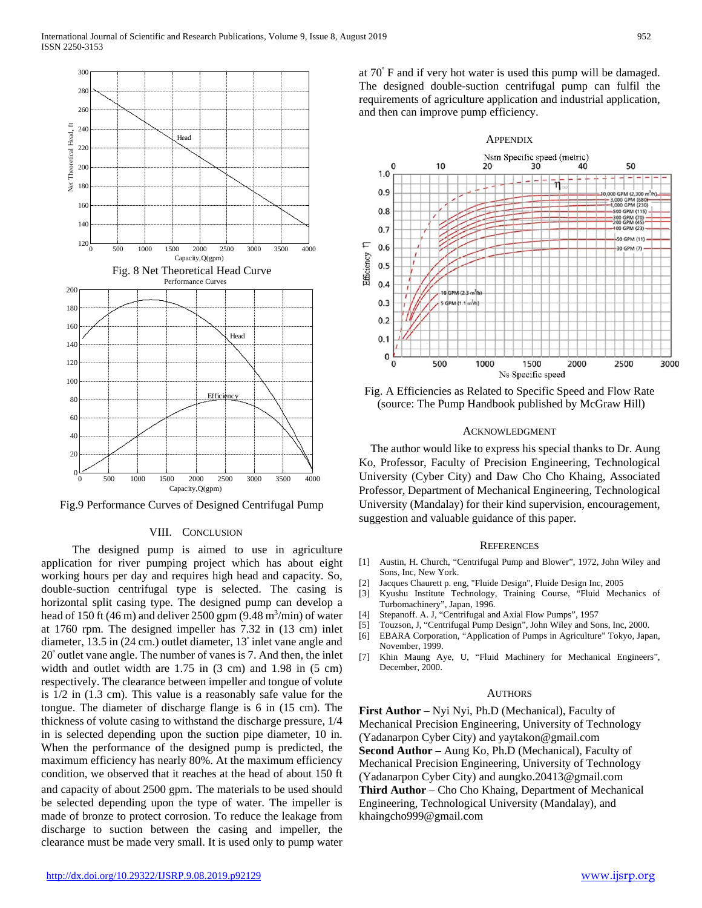

Fig.9 Performance Curves of Designed Centrifugal Pump

### VIII. CONCLUSION

The designed pump is aimed to use in agriculture application for river pumping project which has about eight working hours per day and requires high head and capacity. So, double-suction centrifugal type is selected. The casing is horizontal split casing type. The designed pump can develop a head of 150 ft  $(46 \text{ m})$  and deliver 2500 gpm  $(9.48 \text{ m}^3/\text{min})$  of water at 1760 rpm. The designed impeller has 7.32 in (13 cm) inlet diameter, 13.5 in (24 cm.) outlet diameter, 13º inlet vane angle and 20º outlet vane angle. The number of vanes is 7. And then, the inlet width and outlet width are 1.75 in  $(3 \text{ cm})$  and 1.98 in  $(5 \text{ cm})$ respectively. The clearance between impeller and tongue of volute is 1/2 in (1.3 cm). This value is a reasonably safe value for the tongue. The diameter of discharge flange is 6 in (15 cm). The thickness of volute casing to withstand the discharge pressure, 1/4 in is selected depending upon the suction pipe diameter, 10 in. When the performance of the designed pump is predicted, the maximum efficiency has nearly 80%. At the maximum efficiency condition, we observed that it reaches at the head of about 150 ft and capacity of about 2500 gpm. The materials to be used should be selected depending upon the type of water. The impeller is made of bronze to protect corrosion. To reduce the leakage from discharge to suction between the casing and impeller, the clearance must be made very small. It is used only to pump water

at 70º F and if very hot water is used this pump will be damaged. The designed double-suction centrifugal pump can fulfil the requirements of agriculture application and industrial application, and then can improve pump efficiency.



Fig. A Efficiencies as Related to Specific Speed and Flow Rate (source: The Pump Handbook published by McGraw Hill)

### ACKNOWLEDGMENT

The author would like to express his special thanks to Dr. Aung Ko, Professor, Faculty of Precision Engineering, Technological University (Cyber City) and Daw Cho Cho Khaing, Associated Professor, Department of Mechanical Engineering, Technological University (Mandalay) for their kind supervision, encouragement, suggestion and valuable guidance of this paper.

#### **REFERENCES**

- [1] Austin, H. Church, "Centrifugal Pump and Blower", 1972, John Wiley and Sons, Inc, New York.
- [2] Jacques Chaurett p. eng, "Fluide Design", Fluide Design Inc, 2005
- [3] Kyushu Institute Technology, Training Course, "Fluid Mechanics of Turbomachinery", Japan, 1996.
- [4] Stepanoff. A. J, "Centrifugal and Axial Flow Pumps", 1957
- [5] Touzson, J, "Centrifugal Pump Design", John Wiley and Sons, Inc, 2000.
- [6] EBARA Corporation, "Application of Pumps in Agriculture" Tokyo, Japan, November, 1999.
- [7] Khin Maung Aye, U, "Fluid Machinery for Mechanical Engineers", December, 2000.

### AUTHORS

**First Author** – Nyi Nyi, Ph.D (Mechanical), Faculty of Mechanical Precision Engineering, University of Technology (Yadanarpon Cyber City) and yaytakon@gmail.com **Second Author** – Aung Ko, Ph.D (Mechanical), Faculty of Mechanical Precision Engineering, University of Technology (Yadanarpon Cyber City) and aungko.20413@gmail.com **Third Author** – Cho Cho Khaing, Department of Mechanical Engineering, Technological University (Mandalay), and khaingcho999@gmail.com